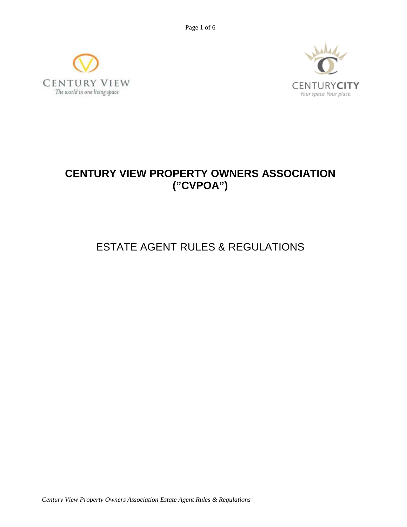Page 1 of 6





## **CENTURY VIEW PROPERTY OWNERS ASSOCIATION ("CVPOA")**

# ESTATE AGENT RULES & REGULATIONS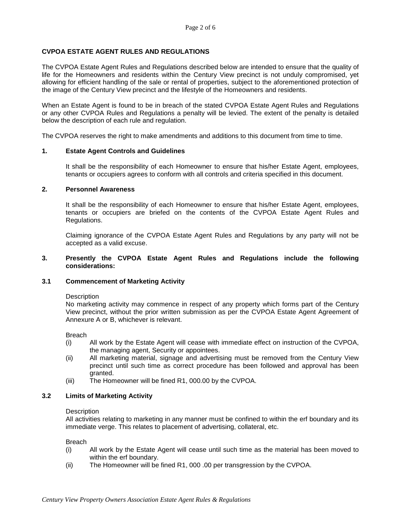## **CVPOA ESTATE AGENT RULES AND REGULATIONS**

The CVPOA Estate Agent Rules and Regulations described below are intended to ensure that the quality of life for the Homeowners and residents within the Century View precinct is not unduly compromised, yet allowing for efficient handling of the sale or rental of properties, subject to the aforementioned protection of the image of the Century View precinct and the lifestyle of the Homeowners and residents.

When an Estate Agent is found to be in breach of the stated CVPOA Estate Agent Rules and Regulations or any other CVPOA Rules and Regulations a penalty will be levied. The extent of the penalty is detailed below the description of each rule and regulation.

The CVPOA reserves the right to make amendments and additions to this document from time to time.

#### **1. Estate Agent Controls and Guidelines**

It shall be the responsibility of each Homeowner to ensure that his/her Estate Agent, employees, tenants or occupiers agrees to conform with all controls and criteria specified in this document.

#### **2. Personnel Awareness**

It shall be the responsibility of each Homeowner to ensure that his/her Estate Agent, employees, tenants or occupiers are briefed on the contents of the CVPOA Estate Agent Rules and Regulations.

Claiming ignorance of the CVPOA Estate Agent Rules and Regulations by any party will not be accepted as a valid excuse.

## **3. Presently the CVPOA Estate Agent Rules and Regulations include the following considerations:**

## **3.1 Commencement of Marketing Activity**

#### **Description**

No marketing activity may commence in respect of any property which forms part of the Century View precinct, without the prior written submission as per the CVPOA Estate Agent Agreement of Annexure A or B, whichever is relevant.

Breach

- (i) All work by the Estate Agent will cease with immediate effect on instruction of the CVPOA, the managing agent, Security or appointees.
- (ii) All marketing material, signage and advertising must be removed from the Century View precinct until such time as correct procedure has been followed and approval has been granted.
- (iii) The Homeowner will be fined R1, 000.00 by the CVPOA.

#### **3.2 Limits of Marketing Activity**

#### **Description**

All activities relating to marketing in any manner must be confined to within the erf boundary and its immediate verge. This relates to placement of advertising, collateral, etc.

Breach

- (i) All work by the Estate Agent will cease until such time as the material has been moved to within the erf boundary.
- (ii) The Homeowner will be fined R1, 000 .00 per transgression by the CVPOA.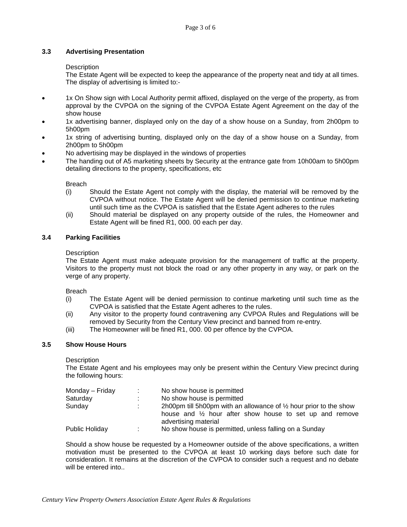## **3.3 Advertising Presentation**

## **Description**

The Estate Agent will be expected to keep the appearance of the property neat and tidy at all times. The display of advertising is limited to:-

- 1x On Show sign with Local Authority permit affixed, displayed on the verge of the property, as from approval by the CVPOA on the signing of the CVPOA Estate Agent Agreement on the day of the show house
- 1x advertising banner, displayed only on the day of a show house on a Sunday, from 2h00pm to 5h00pm
- 1x string of advertising bunting, displayed only on the day of a show house on a Sunday, from 2h00pm to 5h00pm
- No advertising may be displayed in the windows of properties
- The handing out of A5 marketing sheets by Security at the entrance gate from 10h00am to 5h00pm detailing directions to the property, specifications, etc

Breach

- (i) Should the Estate Agent not comply with the display, the material will be removed by the CVPOA without notice. The Estate Agent will be denied permission to continue marketing until such time as the CVPOA is satisfied that the Estate Agent adheres to the rules
- (ii) Should material be displayed on any property outside of the rules, the Homeowner and Estate Agent will be fined R1, 000. 00 each per day.

## **3.4 Parking Facilities**

## **Description**

The Estate Agent must make adequate provision for the management of traffic at the property. Visitors to the property must not block the road or any other property in any way, or park on the verge of any property.

Breach

- (i) The Estate Agent will be denied permission to continue marketing until such time as the CVPOA is satisfied that the Estate Agent adheres to the rules.
- (ii) Any visitor to the property found contravening any CVPOA Rules and Regulations will be removed by Security from the Century View precinct and banned from re-entry.
- (iii) The Homeowner will be fined R1, 000. 00 per offence by the CVPOA.

## **3.5 Show House Hours**

## **Description**

The Estate Agent and his employees may only be present within the Century View precinct during the following hours:

| Monday – Friday       |    | No show house is permitted                                                                                                                                       |
|-----------------------|----|------------------------------------------------------------------------------------------------------------------------------------------------------------------|
| Saturday              |    | No show house is permitted                                                                                                                                       |
| Sunday                |    | 2h00pm till 5h00pm with an allowance of $\frac{1}{2}$ hour prior to the show<br>house and 1/2 hour after show house to set up and remove<br>advertising material |
| <b>Public Holiday</b> | ж. | No show house is permitted, unless falling on a Sunday                                                                                                           |

Should a show house be requested by a Homeowner outside of the above specifications, a written motivation must be presented to the CVPOA at least 10 working days before such date for consideration. It remains at the discretion of the CVPOA to consider such a request and no debate will be entered into..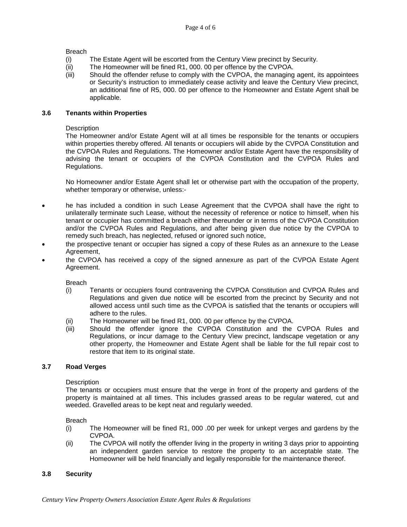Breach

- (i) The Estate Agent will be escorted from the Century View precinct by Security.
- (ii) The Homeowner will be fined R1, 000. 00 per offence by the CVPOA.
- (iii) Should the offender refuse to comply with the CVPOA, the managing agent, its appointees or Security's instruction to immediately cease activity and leave the Century View precinct, an additional fine of R5, 000. 00 per offence to the Homeowner and Estate Agent shall be applicable.

## **3.6 Tenants within Properties**

## **Description**

The Homeowner and/or Estate Agent will at all times be responsible for the tenants or occupiers within properties thereby offered. All tenants or occupiers will abide by the CVPOA Constitution and the CVPOA Rules and Regulations. The Homeowner and/or Estate Agent have the responsibility of advising the tenant or occupiers of the CVPOA Constitution and the CVPOA Rules and Regulations.

No Homeowner and/or Estate Agent shall let or otherwise part with the occupation of the property, whether temporary or otherwise, unless:-

- he has included a condition in such Lease Agreement that the CVPOA shall have the right to unilaterally terminate such Lease, without the necessity of reference or notice to himself, when his tenant or occupier has committed a breach either thereunder or in terms of the CVPOA Constitution and/or the CVPOA Rules and Regulations, and after being given due notice by the CVPOA to remedy such breach, has neglected, refused or ignored such notice,
- the prospective tenant or occupier has signed a copy of these Rules as an annexure to the Lease Agreement,
- the CVPOA has received a copy of the signed annexure as part of the CVPOA Estate Agent Agreement.

Breach

- (i) Tenants or occupiers found contravening the CVPOA Constitution and CVPOA Rules and Regulations and given due notice will be escorted from the precinct by Security and not allowed access until such time as the CVPOA is satisfied that the tenants or occupiers will adhere to the rules.
- (ii) The Homeowner will be fined R1, 000. 00 per offence by the CVPOA.<br>(iii) Should the offender janore the CVPOA Constitution and the
- Should the offender ignore the CVPOA Constitution and the CVPOA Rules and Regulations, or incur damage to the Century View precinct, landscape vegetation or any other property, the Homeowner and Estate Agent shall be liable for the full repair cost to restore that item to its original state.

## **3.7 Road Verges**

## **Description**

The tenants or occupiers must ensure that the verge in front of the property and gardens of the property is maintained at all times. This includes grassed areas to be regular watered, cut and weeded. Gravelled areas to be kept neat and regularly weeded.

## Breach

- (i) The Homeowner will be fined R1, 000 .00 per week for unkept verges and gardens by the CVPOA.
- (ii) The CVPOA will notify the offender living in the property in writing 3 days prior to appointing an independent garden service to restore the property to an acceptable state. The Homeowner will be held financially and legally responsible for the maintenance thereof.

## **3.8 Security**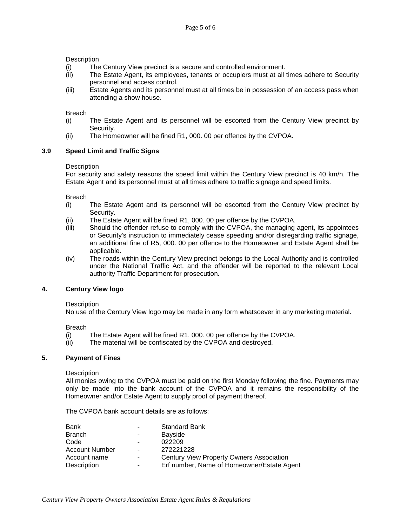## **Description**

- (i) The Century View precinct is a secure and controlled environment.
- (ii) The Estate Agent, its employees, tenants or occupiers must at all times adhere to Security personnel and access control.
- (iii) Estate Agents and its personnel must at all times be in possession of an access pass when attending a show house.

## Breach

- (i) The Estate Agent and its personnel will be escorted from the Century View precinct by Security.
- (ii) The Homeowner will be fined R1, 000. 00 per offence by the CVPOA.

## **3.9 Speed Limit and Traffic Signs**

## **Description**

For security and safety reasons the speed limit within the Century View precinct is 40 km/h. The Estate Agent and its personnel must at all times adhere to traffic signage and speed limits.

Breach

- (i) The Estate Agent and its personnel will be escorted from the Century View precinct by Security.
- (ii) The Estate Agent will be fined R1, 000. 00 per offence by the CVPOA.
- (iii) Should the offender refuse to comply with the CVPOA, the managing agent, its appointees or Security's instruction to immediately cease speeding and/or disregarding traffic signage, an additional fine of R5, 000. 00 per offence to the Homeowner and Estate Agent shall be applicable.
- (iv) The roads within the Century View precinct belongs to the Local Authority and is controlled under the National Traffic Act, and the offender will be reported to the relevant Local authority Traffic Department for prosecution.

## **4. Century View logo**

## **Description**

No use of the Century View logo may be made in any form whatsoever in any marketing material.

Breach

- (i) The Estate Agent will be fined R1, 000. 00 per offence by the CVPOA.
- (ii) The material will be confiscated by the CVPOA and destroyed.

## **5. Payment of Fines**

**Description** 

All monies owing to the CVPOA must be paid on the first Monday following the fine. Payments may only be made into the bank account of the CVPOA and it remains the responsibility of the Homeowner and/or Estate Agent to supply proof of payment thereof.

The CVPOA bank account details are as follows:

| Bank           | $\blacksquare$ | <b>Standard Bank</b>                       |
|----------------|----------------|--------------------------------------------|
| Branch         | ۰.             | Bayside                                    |
| Code           | $\blacksquare$ | 022209                                     |
| Account Number | $\blacksquare$ | 272221228                                  |
| Account name   | $\blacksquare$ | Century View Property Owners Association   |
| Description    | ٠              | Erf number, Name of Homeowner/Estate Agent |